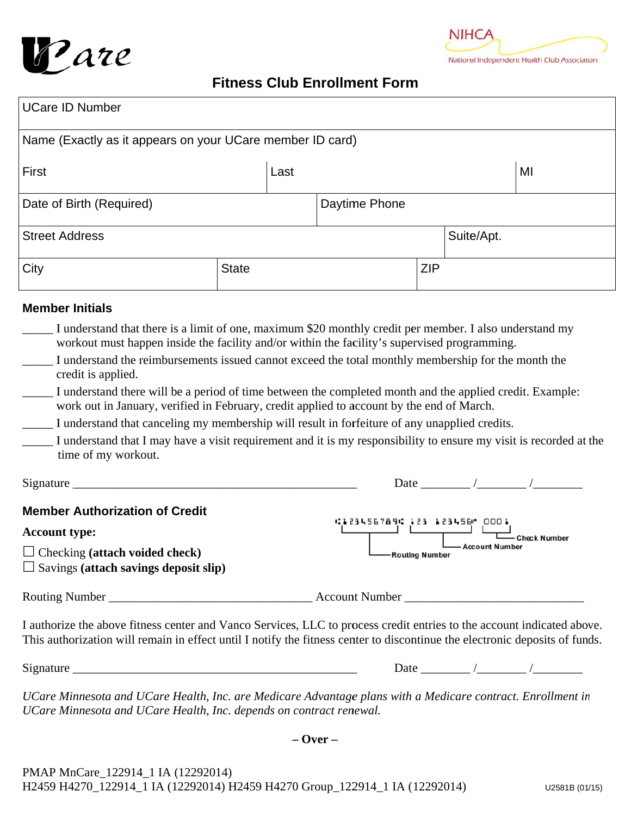



# **Fitness Club Enrollment Form**

| <b>UCare ID Number</b>                                    |              |               |            |            |    |  |
|-----------------------------------------------------------|--------------|---------------|------------|------------|----|--|
| Name (Exactly as it appears on your UCare member ID card) |              |               |            |            |    |  |
| First                                                     | Last         |               |            |            | MI |  |
| Date of Birth (Required)                                  |              | Daytime Phone |            |            |    |  |
| <b>Street Address</b>                                     |              |               |            | Suite/Apt. |    |  |
| City                                                      | <b>State</b> |               | <b>ZIP</b> |            |    |  |

### **Member Initials**

- I understand that there is a limit of one, maximum \$20 monthly credit per member. I also understand my workout must happen inside the facility and/or within the facility's supervised programming.
- I understand the reimbursements issued cannot exceed the total monthly membership for the month the credit is applied.
- I understand there will be a period of time between the completed month and the applied credit. Example: work out in January, verified in February, credit applied to account by the end of March.
- I understand that canceling my membership will result in forfeiture of any unapplied credits.
- I understand that I may have a visit requirement and it is my responsibility to ensure my visit is recorded at the time of my workout.

| Signature                                                                                                                                              | Date                                                                                               |
|--------------------------------------------------------------------------------------------------------------------------------------------------------|----------------------------------------------------------------------------------------------------|
| <b>Member Authorization of Credit</b><br><b>Account type:</b><br>$\Box$ Checking (attach voided check)<br>$\Box$ Savings (attach savings deposit slip) | C123456789C123 123456 .<br>0001<br><b>Check Number</b><br><b>Account Number</b><br>-Routing Number |
| Routing Number                                                                                                                                         | <b>Account Number</b>                                                                              |

I authorize the above fitness center and Vanco Services, LLC to process credit entries to the account indicated above. This authorization will remain in effect until I notify the fitness center to discontinue the electronic deposits of funds.

 $Signature$ 

Date  $\frac{1}{\sqrt{1-\frac{1}{2}}}\left( \frac{1}{\sqrt{1-\frac{1}{2}}}\right)$ 

UCare Minnesota and UCare Health, Inc. are Medicare Advantage plans with a Medicare contract. Enrollment in UCare Minnesota and UCare Health, Inc. depends on contract renewal.

 $-$  Over  $-$